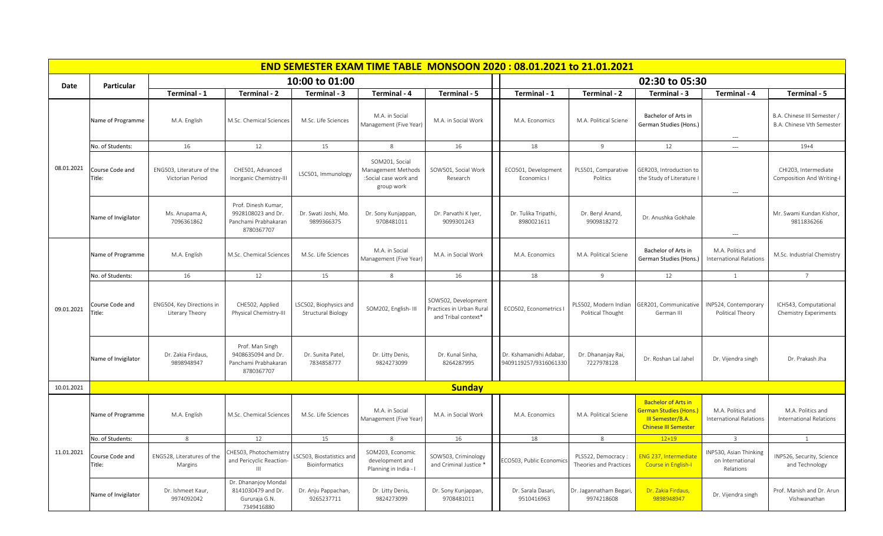|            |                           |                                               |                                                                                 |                                                     | <b>END SEMESTER EXAM TIME TABLE MONSOON 2020: 08.01.2021 to 21.01.2021</b>  |                                                                        |                                                  |                                              |                                                                                                                |                                                         |                                                          |
|------------|---------------------------|-----------------------------------------------|---------------------------------------------------------------------------------|-----------------------------------------------------|-----------------------------------------------------------------------------|------------------------------------------------------------------------|--------------------------------------------------|----------------------------------------------|----------------------------------------------------------------------------------------------------------------|---------------------------------------------------------|----------------------------------------------------------|
| Date       | Particular                |                                               |                                                                                 | 10:00 to 01:00                                      |                                                                             |                                                                        |                                                  |                                              | 02:30 to 05:30                                                                                                 |                                                         |                                                          |
|            |                           | Terminal - 1                                  | Terminal - 2                                                                    | Terminal - 3                                        | Terminal - 4                                                                | Terminal - 5                                                           | Terminal - 1                                     | Terminal - 2                                 | Terminal - 3                                                                                                   | Terminal - 4                                            | Terminal - 5                                             |
| 08.01.2021 | Name of Programme         | M.A. English                                  | M.Sc. Chemical Sciences                                                         | M.Sc. Life Sciences                                 | M.A. in Social<br>Management (Five Year)                                    | M.A. in Social Work                                                    | M.A. Economics                                   | M.A. Political Sciene                        | Bachelor of Arts in<br>German Studies (Hons.)                                                                  | ---                                                     | B.A. Chinese III Semester /<br>B.A. Chinese Vth Semester |
|            | No. of Students:          | 16                                            | 12                                                                              | 15                                                  | 8                                                                           | 16                                                                     | 18                                               | 9                                            | 12                                                                                                             | $\overline{a}$                                          | $19 + 4$                                                 |
|            | Course Code and<br>Title: | ENG503, Literature of the<br>Victorian Period | CHE501, Advanced<br>Inorganic Chemistry-III                                     | LSC501, Immunology                                  | SOM201, Social<br>Management Methods<br>:Social case work and<br>group work | SOW501, Social Work<br>Research                                        | ECO501, Development<br>Economics I               | PLS501, Comparative<br>Politics              | GER203, Introduction to<br>the Study of Literature I                                                           | $\overline{\phantom{a}}$                                | CHI203, Intermediate<br>Composition And Writing-I        |
|            | Name of Invigilator       | Ms. Anupama A,<br>7096361862                  | Prof. Dinesh Kumar,<br>9928108023 and Dr.<br>Panchami Prabhakaran<br>8780367707 | Dr. Swati Joshi, Mo.<br>9899366375                  | Dr. Sony Kunjappan,<br>9708481011                                           | Dr. Parvathi K Iyer,<br>9099301243                                     | Dr. Tulika Tripathi,<br>8980021611               | Dr. Beryl Anand,<br>9909818272               | Dr. Anushka Gokhale                                                                                            | ---                                                     | Mr. Swami Kundan Kishor,<br>9811836266                   |
|            | Name of Programme         | M.A. English                                  | M.Sc. Chemical Sciences                                                         | M.Sc. Life Sciences                                 | M.A. in Social<br>Management (Five Year)                                    | M.A. in Social Work                                                    | M.A. Economics                                   | M.A. Political Sciene                        | Bachelor of Arts in<br>German Studies (Hons.)                                                                  | M.A. Politics and<br><b>International Relations</b>     | M.Sc. Industrial Chemistry                               |
|            | No. of Students:          | 16                                            | 12                                                                              | 15                                                  | 8                                                                           | 16                                                                     | 18                                               | 9                                            | 12                                                                                                             | <sup>1</sup>                                            | $\overline{7}$                                           |
| 09.01.2021 | Course Code and<br>Title: | ENG504, Key Directions in<br>Literary Theory  | CHE502, Applied<br>Physical Chemistry-III                                       | LSC502, Biophysics and<br><b>Structural Biology</b> | SOM202, English-III                                                         | SOW502, Development<br>Practices in Urban Rural<br>and Tribal context* | ECO502, Econometrics I                           | PLS502, Modern Indian<br>Political Thought   | GER201, Communicative<br>German III                                                                            | INP524, Contemporary<br>Political Theory                | ICH543, Computational<br>Chemistry Experiments           |
|            | Name of Invigilator       | Dr. Zakia Firdaus,<br>9898948947              | Prof. Man Singh<br>9408635094 and Dr.<br>Panchami Prabhakaran<br>8780367707     | Dr. Sunita Patel,<br>7834858777                     | Dr. Litty Denis,<br>9824273099                                              | Dr. Kunal Sinha,<br>8264287995                                         | Dr. Kshamanidhi Adabar,<br>9409119257/9316061330 | Dr. Dhananjay Rai,<br>7227978128             | Dr. Roshan Lal Jahel                                                                                           | Dr. Vijendra singh                                      | Dr. Prakash Jha                                          |
| 10.01.2021 |                           |                                               |                                                                                 |                                                     |                                                                             | <b>Sunday</b>                                                          |                                                  |                                              |                                                                                                                |                                                         |                                                          |
| 11.01.2021 | Name of Programme         | M.A. English                                  | M.Sc. Chemical Sciences                                                         | M.Sc. Life Sciences                                 | M.A. in Social<br>Management (Five Year)                                    | M.A. in Social Work                                                    | M.A. Economics                                   | M.A. Political Sciene                        | <b>Bachelor of Arts in</b><br><b>German Studies (Hons.</b><br>III Semester/B.A.<br><b>Chinese III Semester</b> | M.A. Politics and<br>International Relations            | M.A. Politics and<br><b>International Relations</b>      |
|            | No. of Students:          | 8                                             | 12                                                                              | 15                                                  | 8                                                                           | 16                                                                     | 18                                               | 8                                            | $12 + 19$                                                                                                      | $\overline{3}$                                          | $\mathbf{1}$                                             |
|            | Course Code and<br>Title: | ENG528, Literatures of the<br>Margins         | CHE503, Photochemistry<br>and Pericyclic Reaction-<br>$\mathbf{III}$            | SC503, Biostatistics and<br><b>Bioinformatics</b>   | SOM203, Economic<br>development and<br>Planning in India - I                | SOW503, Criminology<br>and Criminal Justice *                          | ECO503, Public Economics                         | PLS522, Democracy:<br>Theories and Practices | ENG 237, Intermediate<br><b>Course in English-I</b>                                                            | INP530, Asian Thinking<br>on International<br>Relations | INP526, Security, Science<br>and Technology              |
|            | Name of Invigilator       | Dr. Ishmeet Kaur,<br>9974092042               | Dr. Dhananjoy Mondal<br>8141030479 and Dr.<br>Gururaja G.N.<br>7349416880       | Dr. Anju Pappachan,<br>9265237711                   | Dr. Litty Denis,<br>9824273099                                              | Dr. Sony Kunjappan,<br>9708481011                                      | Dr. Sarala Dasari,<br>9510416963                 | Dr. Jagannatham Begari,<br>9974218608        | Dr. Zakia Firdaus,<br>9898948947                                                                               | Dr. Vijendra singh                                      | Prof. Manish and Dr. Arun<br>Vishwanathan                |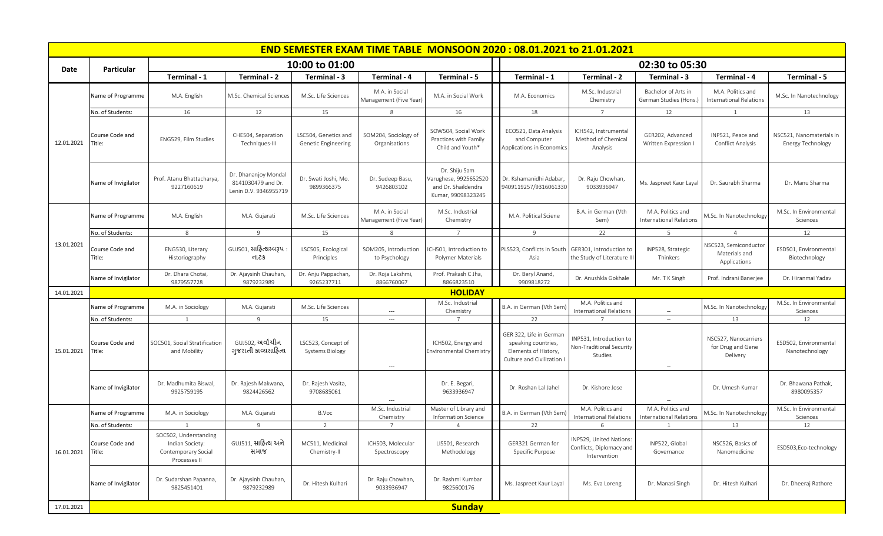|            |                           |                                                                                 |                                                                     |                                              |                                          |                                                                                     | <b>END SEMESTER EXAM TIME TABLE MONSOON 2020: 08.01.2021 to 21.01.2021</b>                           |                                                                     |                                                     |                                                        |                                               |
|------------|---------------------------|---------------------------------------------------------------------------------|---------------------------------------------------------------------|----------------------------------------------|------------------------------------------|-------------------------------------------------------------------------------------|------------------------------------------------------------------------------------------------------|---------------------------------------------------------------------|-----------------------------------------------------|--------------------------------------------------------|-----------------------------------------------|
| Date       | <b>Particular</b>         |                                                                                 |                                                                     | 10:00 to 01:00                               |                                          |                                                                                     |                                                                                                      |                                                                     | 02:30 to 05:30                                      |                                                        |                                               |
|            |                           | Terminal - 1                                                                    | Terminal - 2                                                        | Terminal - 3                                 | Terminal - 4                             | Terminal - 5                                                                        | Terminal - 1                                                                                         | Terminal - 2                                                        | Terminal - 3                                        | Terminal - 4                                           | Terminal - 5                                  |
| 12.01.2021 | Name of Programme         | M.A. English                                                                    | M.Sc. Chemical Sciences                                             | M.Sc. Life Sciences                          | M.A. in Social<br>Management (Five Year) | M.A. in Social Work                                                                 | M.A. Economics                                                                                       | M.Sc. Industrial<br>Chemistry                                       | Bachelor of Arts in<br>German Studies (Hons.)       | M.A. Politics and<br><b>International Relations</b>    | M.Sc. In Nanotechnology                       |
|            | No. of Students:          | 16                                                                              | 12                                                                  | 15                                           | 8                                        | 16                                                                                  | 18                                                                                                   |                                                                     | 12                                                  |                                                        | 13                                            |
|            | Course Code and<br>Title: | ENG529. Film Studies                                                            | CHE504, Separation<br>Techniques-III                                | LSC504, Genetics and<br>Genetic Engineering  | SOM204, Sociology of<br>Organisations    | SOW504. Social Work<br>Practices with Family<br>Child and Youth*                    | ECO521, Data Analysis<br>and Computer<br>Applications in Economics                                   | ICH542, Instrumental<br>Method of Chemical<br>Analysis              | GER202, Advanced<br>Written Expression I            | INP521, Peace and<br><b>Conflict Analysis</b>          | NSC521, Nanomaterials in<br>Energy Technology |
|            | Name of Invigilator       | Prof. Atanu Bhattacharya,<br>9227160619                                         | Dr. Dhananjoy Mondal<br>8141030479 and Dr.<br>Lenin D.V. 9346955719 | Dr. Swati Joshi, Mo.<br>9899366375           | Dr. Sudeep Basu,<br>9426803102           | Dr. Shiju Sam<br>Varughese, 9925652520<br>and Dr. Shaildendra<br>Kumar, 99098323245 | Dr. Kshamanidhi Adabar,<br>9409119257/9316061330                                                     | Dr. Raju Chowhan<br>9033936947                                      | Ms. Jaspreet Kaur Layal                             | Dr. Saurabh Sharma                                     | Dr. Manu Sharma                               |
|            | Name of Programme         | M.A. English                                                                    | M.A. Gujarati                                                       | M.Sc. Life Sciences                          | M.A. in Social<br>Management (Five Year) | M.Sc. Industrial<br>Chemistry                                                       | M.A. Political Sciene                                                                                | B.A. in German (Vth<br>Sem)                                         | M.A. Politics and<br><b>International Relations</b> | VI.Sc. In Nanotechnology                               | M.Sc. In Environmental<br>Sciences            |
|            | No. of Students:          | 8                                                                               | 9                                                                   | 15                                           | 8                                        | $\overline{7}$                                                                      | 9                                                                                                    | 22                                                                  | - 5                                                 | $\overline{4}$                                         | 12                                            |
| 13.01.2021 | Course Code and<br>Title: | ENG530, Literary<br>Historiography                                              | GUJ501, સાહિત્યસ્વરૂપ<br>નાટક                                       | LSC505, Ecological<br>Principles             | SOM205, Introduction<br>to Psychology    | ICH501, Introduction to<br>Polymer Materials                                        | PLS523, Conflicts in South<br>Asia                                                                   | GER301, Introduction to<br>the Study of Literature II               | INP528, Strategic<br>Thinkers                       | NSC523, Semiconductor<br>Materials and<br>Applications | ESD501, Environmental<br>Biotechnology        |
|            | Name of Invigilator       | Dr. Dhara Chotai,<br>9879557728                                                 | Dr. Ajaysinh Chauhan,<br>9879232989                                 | Dr. Anju Pappachan,<br>9265237711            | Dr. Roja Lakshmi,<br>8866760067          | Prof. Prakash C Jha,<br>8866823510                                                  | Dr. Beryl Anand,<br>9909818272                                                                       | Dr. Anushkla Gokhale                                                | Mr. T K Singh                                       | Prof. Indrani Banerjee                                 | Dr. Hiranmai Yadav                            |
| 14.01.2021 |                           |                                                                                 |                                                                     |                                              |                                          | <b>HOLIDAY</b>                                                                      |                                                                                                      |                                                                     |                                                     |                                                        |                                               |
|            | Name of Programme         | M.A. in Sociology                                                               | M.A. Gujarati                                                       | M.Sc. Life Sciences                          | $\overline{\phantom{a}}$                 | M.Sc. Industrial<br>Chemistry                                                       | B.A. in German (Vth Sem)                                                                             | M.A. Politics and<br><b>International Relations</b>                 | $\overline{\phantom{a}}$                            | M.Sc. In Nanotechnology                                | M.Sc. In Environmental<br>Sciences            |
|            | No. of Students:          |                                                                                 | 9                                                                   | 15                                           | $\overline{\phantom{a}}$                 |                                                                                     | 22                                                                                                   |                                                                     | $\overline{\phantom{a}}$                            | 13                                                     | 12                                            |
| 15.01.2021 | Course Code and<br>Title: | SOC501, Social Stratification<br>and Mobility                                   | GUJ502, અર્વાચીન<br>ગુજરાતી કાવ્યસાહિત્ય                            | LSC523, Concept of<br><b>Systems Biology</b> | $\hspace{0.05cm} \ldots$                 | ICH502, Energy and<br><b>Environmental Chemistry</b>                                | GER 322, Life in German<br>speaking countries,<br>Elements of History,<br>Culture and Civilization I | INP531, Introduction to<br>Non-Traditional Security<br>Studies      | $\sim$                                              | NSC527, Nanocarriers<br>for Drug and Gene<br>Delivery  | ESD502, Environmental<br>Nanotechnology       |
|            | Name of Invigilator       | Dr. Madhumita Biswal,<br>9925759195                                             | Dr. Rajesh Makwana,<br>9824426562                                   | Dr. Rajesh Vasita,<br>9708685061             |                                          | Dr. E. Begari,<br>9633936947                                                        | Dr. Roshan Lal Jahel                                                                                 | Dr. Kishore Jose                                                    |                                                     | Dr. Umesh Kumar                                        | Dr. Bhawana Pathak,<br>8980095357             |
|            | Name of Programme         | M.A. in Sociology                                                               | M.A. Gujarati                                                       | B.Voc                                        | M.Sc. Industrial<br>Chemistry            | Master of Library and<br>Information Science                                        | B.A. in German (Vth Sem)                                                                             | M.A. Politics and<br><b>International Relations</b>                 | M.A. Politics and<br><b>International Relations</b> | M.Sc. In Nanotechnology                                | M.Sc. In Environmental<br>Sciences            |
|            | No. of Students:          | 1                                                                               | 9                                                                   | 2                                            | 7                                        | $\overline{4}$                                                                      | 22                                                                                                   | 6                                                                   |                                                     | 13                                                     | 12                                            |
| 16.01.2021 | Course Code and<br>Title: | SOC502, Understanding<br>Indian Society:<br>Contemporary Social<br>Processes II | GUJ511, સાહિત્ય અને<br>સમાજ                                         | MC511, Medicinal<br>Chemistry-II             | ICH503, Molecular<br>Spectroscopy        | LIS501, Research<br>Methodology                                                     | GER321 German for<br>Specific Purpose                                                                | INP529, United Nations:<br>Conflicts, Diplomacy and<br>Intervention | INP522, Global<br>Governance                        | NSC526, Basics of<br>Nanomedicine                      | ESD503,Eco-technology                         |
|            | Name of Invigilator       | Dr. Sudarshan Papanna,<br>9825451401                                            | Dr. Ajaysinh Chauhan,<br>9879232989                                 | Dr. Hitesh Kulhari                           | Dr. Raju Chowhan,<br>9033936947          | Dr. Rashmi Kumbar<br>9825600176                                                     | Ms. Jaspreet Kaur Layal                                                                              | Ms. Eva Loreng                                                      | Dr. Manasi Singh                                    | Dr. Hitesh Kulhari                                     | Dr. Dheeraj Rathore                           |
| 17.01.2021 |                           |                                                                                 |                                                                     |                                              |                                          | <b>Sunday</b>                                                                       |                                                                                                      |                                                                     |                                                     |                                                        |                                               |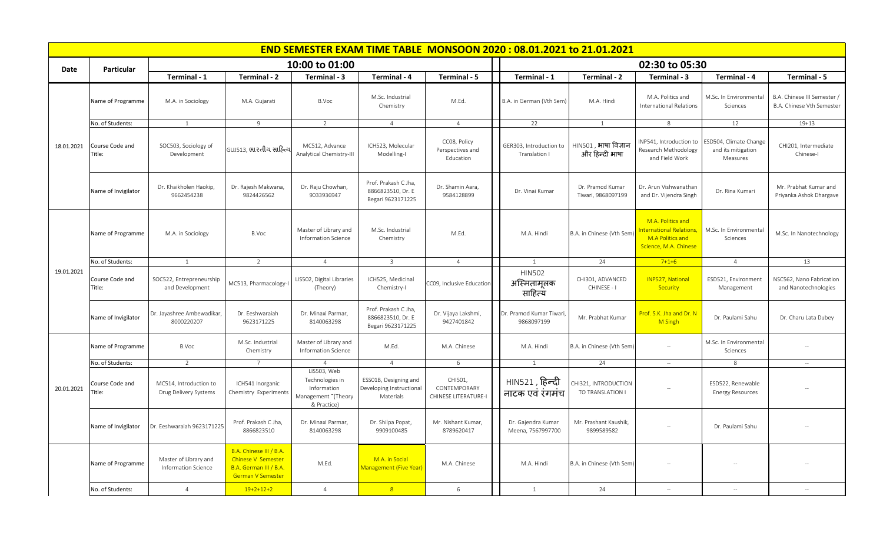|            |                           |                                                 |                                                                                                            |                                                                                     |                                                                | <b>END SEMESTER EXAM TIME TABLE MONSOON 2020: 08.01.2021 to 21.01.2021</b> |                                            |                                                 |                                                                                          |                                                          |                                                        |  |  |  |
|------------|---------------------------|-------------------------------------------------|------------------------------------------------------------------------------------------------------------|-------------------------------------------------------------------------------------|----------------------------------------------------------------|----------------------------------------------------------------------------|--------------------------------------------|-------------------------------------------------|------------------------------------------------------------------------------------------|----------------------------------------------------------|--------------------------------------------------------|--|--|--|
|            |                           |                                                 |                                                                                                            | 10:00 to 01:00                                                                      |                                                                |                                                                            | 02:30 to 05:30                             |                                                 |                                                                                          |                                                          |                                                        |  |  |  |
| Date       | Particular                | Terminal - 1                                    | Terminal - 2                                                                                               | Terminal - 3                                                                        | Terminal - 4                                                   | Terminal - 5                                                               | Terminal - 1                               | Terminal - 2                                    | Terminal - 3                                                                             | Terminal - 4                                             | Terminal - 5                                           |  |  |  |
|            | Name of Programme         | M.A. in Sociology                               | M.A. Gujarati                                                                                              | B.Voc                                                                               | M.Sc. Industrial<br>Chemistry                                  | M.Ed.                                                                      | B.A. in German (Vth Sem)                   | M.A. Hindi                                      | M.A. Politics and<br><b>International Relations</b>                                      | M.Sc. In Environmental<br>Sciences                       | B.A. Chinese III Semester<br>B.A. Chinese Vth Semester |  |  |  |
|            | No. of Students:          | $\mathbf{1}$                                    | 9                                                                                                          | 2                                                                                   | $\overline{4}$                                                 | $\overline{4}$                                                             | 22                                         | $\mathbf{1}$                                    | 8                                                                                        | 12                                                       | $19 + 13$                                              |  |  |  |
| 18.01.2021 | Course Code and<br>'itle: | SOC503, Sociology of<br>Development             | GUJ513, ભારતીય સાહિત્ય                                                                                     | MC512, Advance<br><b>Analytical Chemistry-III</b>                                   | ICH523, Molecular<br>Modelling-I                               | CC08, Policy<br>Perspectives and<br>Education                              | GER303, Introduction to<br>Translation I   | HIN501 , भाषा विज्ञान<br>और हिन्दी भाषा         | INP541, Introduction to<br>Research Methodology<br>and Field Work                        | ESD504, Climate Change<br>and its mitigation<br>Measures | CHI201, Intermediate<br>Chinese-I                      |  |  |  |
|            | Name of Invigilator       | Dr. Khaikholen Haokip,<br>9662454238            | Dr. Rajesh Makwana,<br>9824426562                                                                          | Dr. Raju Chowhan,<br>9033936947                                                     | Prof. Prakash C Jha,<br>8866823510, Dr. E<br>Begari 9623171225 | Dr. Shamin Aara,<br>9584128899                                             | Dr. Vinai Kumar                            | Dr. Pramod Kumar<br>Tiwari, 9868097199          | Dr. Arun Vishwanathan<br>and Dr. Vijendra Singh                                          | Dr. Rina Kumari                                          | Mr. Prabhat Kumar and<br>Priyanka Ashok Dhargave       |  |  |  |
|            | Name of Programme         | M.A. in Sociology                               | B.Voc                                                                                                      | Master of Library and<br>Information Science                                        | M.Sc. Industrial<br>Chemistry                                  | M.Ed.                                                                      | M.A. Hindi                                 | B.A. in Chinese (Vth Sem)                       | M.A. Politics and<br>nternational Relations<br>M.A Politics and<br>Science, M.A. Chinese | M.Sc. In Environmental<br>Sciences                       | M.Sc. In Nanotechnology                                |  |  |  |
|            | No. of Students:          | 1                                               | 2                                                                                                          | $\overline{4}$                                                                      | $\overline{3}$                                                 | $\overline{4}$                                                             | 1                                          | 24                                              | $7 + 1 + 6$                                                                              | $\overline{4}$                                           | 13                                                     |  |  |  |
| 19.01.2021 | Course Code and<br>Title: | SOC522, Entrepreneurship<br>and Development     | MC513, Pharmacology-I                                                                                      | LIS502, Digital Libraries<br>(Theory)                                               | ICH525, Medicinal<br>Chemistry-I                               | CC09, Inclusive Educatior                                                  | <b>HIN502</b><br>अस्मितामूलक<br>साहित्य    | CHI301, ADVANCED<br>CHINESE - I                 | <b>INP527, National</b><br>Security                                                      | ESD521, Environment<br>Management                        | NSC562, Nano Fabrication<br>and Nanotechnologies       |  |  |  |
|            | Name of Invigilator       | Dr. Jayashree Ambewadikar,<br>8000220207        | Dr. Eeshwaraiah<br>9623171225                                                                              | Dr. Minaxi Parmar,<br>8140063298                                                    | Prof. Prakash C Jha,<br>8866823510, Dr. E<br>Begari 9623171225 | Dr. Vijaya Lakshmi,<br>9427401842                                          | Dr. Pramod Kumar Tiwari,<br>9868097199     | Mr. Prabhat Kumar                               | Prof. S.K. Jha and Dr. N<br>M Singh                                                      | Dr. Paulami Sahu                                         | Dr. Charu Lata Dubey                                   |  |  |  |
|            | Name of Programme         | B.Voc                                           | M.Sc. Industrial<br>Chemistry                                                                              | Master of Library and<br><b>Information Science</b>                                 | M.Ed.                                                          | M.A. Chinese                                                               | M.A. Hindi                                 | B.A. in Chinese (Vth Sem                        |                                                                                          | M.Sc. In Environmental<br>Sciences                       |                                                        |  |  |  |
|            | No. of Students:          | 2                                               | $\overline{7}$                                                                                             | $\overline{4}$                                                                      | $\overline{4}$                                                 | $6\,$                                                                      |                                            | 24                                              | $\overline{\phantom{a}}$                                                                 | 8                                                        |                                                        |  |  |  |
| 20.01.2021 | Course Code and<br>ïtle:  | MC514, Introduction to<br>Drug Delivery Systems | ICH541 Inorganic<br>Chemistry Experiments                                                                  | LIS503, Web<br>Technologies in<br>Information<br>Management "(Theory<br>& Practice) | ESS01B, Designing and<br>Developing Instructional<br>Materials | CHI501,<br>CONTEMPORARY<br>CHINESE LITERATURE-I                            | HIN521 , हि <b>न्दी</b><br>नाटक एवं रंगमंच | <b>CHI321, INTRODUCTION</b><br>TO TRANSLATION I |                                                                                          | ESD522, Renewable<br><b>Energy Resources</b>             |                                                        |  |  |  |
|            | Name of Invigilator       | Dr. Eeshwaraiah 9623171225                      | Prof. Prakash C Jha,<br>8866823510                                                                         | Dr. Minaxi Parmar,<br>8140063298                                                    | Dr. Shilpa Popat,<br>9909100485                                | Mr. Nishant Kumar,<br>8789620417                                           | Dr. Gajendra Kumar<br>Meena, 7567997700    | Mr. Prashant Kaushik,<br>9899589582             | $\sim$                                                                                   | Dr. Paulami Sahu                                         |                                                        |  |  |  |
|            | Name of Programme         | Master of Library and<br>Information Science    | B.A. Chinese III / B.A.<br><b>Chinese V Semester</b><br>B.A. German III / B.A.<br><b>German V Semester</b> | M.Ed.                                                                               | M.A. in Social<br>Management (Five Year)                       | M.A. Chinese                                                               | M.A. Hindi                                 | B.A. in Chinese (Vth Sem)                       | $\sim$                                                                                   | $\sim$                                                   |                                                        |  |  |  |
|            | No. of Students:          | $\overline{4}$                                  | $19+2+12+2$                                                                                                | $\overline{4}$                                                                      | 8 <sup>°</sup>                                                 | 6                                                                          | <sup>1</sup>                               | 24                                              | $\sim$                                                                                   | $\sim$                                                   | $\sim$                                                 |  |  |  |